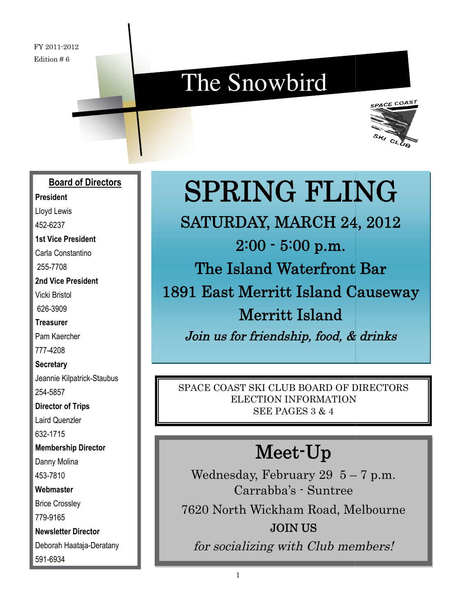## The Snowbird



#### **Board of Directors**

**President** Lloyd Lewis 452-6237 **1st Vice President** Carla Constantino 255-7708 **2nd Vice President** Vicki Bristol 626-3909 **Treasurer** Pam Kaercher

777-4208 **Secretary**

Jeannie Kilpatrick-Staubus 254-5857

**Director of Trips** Laird Quenzler 632-1715 **Membership Director** Danny Molina 453-7810 **Webmaster** Brice Crossley 779-9165 **Newsletter Director**

Deborah Haataja-Deratany 591-6934

# SPRING FLING

1891 East Merritt Island Causeway<br>Merritt Island SATURDAY, MARCH 24, 2012 2:00 - 5:00 p.m. The Island Waterfront Bar Join us for friendship, food, & drinks **SPRING FLI**<br>
SATURDAY, MARCH 2.<br>  $2:00 - 5:00$  p.m.<br>
The Island Waterfront<br>
Herritt Island<br>
Join us for friendship, food, &<br>
PACE COAST SKI CLUB BOARD OF<br>
ELECTION INFORMATION<br>
SEE PAGES 3 & 4<br>
Meet-Up<br>
Wednesday, Februar

SPACE COAST SKI CLUB BOARD OF DIRECTORS ELECTION INFORMATION SEE PAGES 3 & 4

### Meet-Up

Wednesday, February 29  $5-7$  p.m. Carrabba's - Suntree 7620 North Wickham Road, Melbourne JOIN US for socializing with Club members!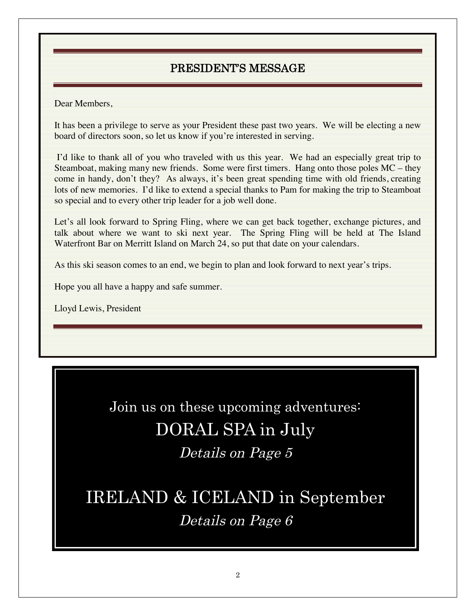#### PRESIDENT'S MESSAGE

Dear Members,

It has been a privilege to serve as your President these past two years. We will be electing a new board of directors soon, so let us know if you're interested in serving.

I'd like to thank all of you who traveled with us this year. We had an especially great trip to Steamboat, making many new friends. Some were first timers. Hang onto those poles MC – they come in handy, don't they? As always, it's been great spending time with old friends, creating lots of new memories. I'd like to extend a special thanks to Pam for making the trip to Steamboat so special and to every other trip leader for a job well done.

Let's all look forward to Spring Fling, where we can get back together, exchange pictures, and talk about where we want to ski next year. The Spring Fling will be held at The Island Waterfront Bar on Merritt Island on March 24, so put that date on your calendars.

As this ski season comes to an end, we begin to plan and look forward to next year's trips.

Hope you all have a happy and safe summer.

Lloyd Lewis, President

Join us on these upcoming adventures: DORAL SPA in July Details on Page 5

IRELAND & ICELAND in September Details on Page 6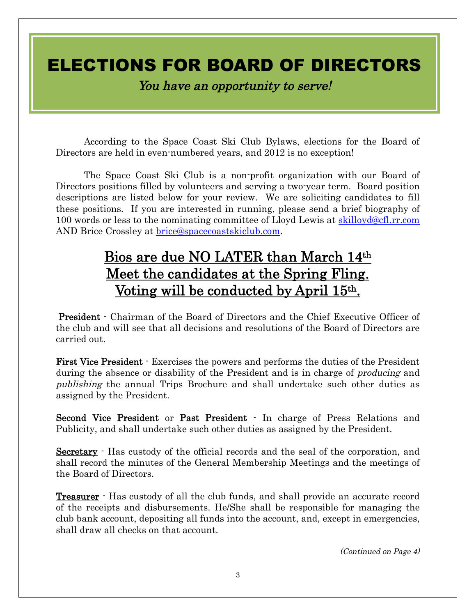### ELECTIONS FOR BOARD OF DIRECTORS

You have an opportunity to serve!

According to the Space Coast Ski Club Bylaws, elections for the Board of Directors are held in even-numbered years, and 2012 is no exception!

The Space Coast Ski Club is a non-profit organization with our Board of Directors positions filled by volunteers and serving a two-year term. Board position descriptions are listed below for your review. We are soliciting candidates to fill these positions. If you are interested in running, please send a brief biography of 100 words or less to the nominating committee of Lloyd Lewis at skilloyd@cfl.rr.com AND Brice Crossley at brice@spacecoastskiclub.com.

### Bios are due NO LATER than March 14th Meet the candidates at the Spring Fling. Voting will be conducted by April 15th.

President - Chairman of the Board of Directors and the Chief Executive Officer of the club and will see that all decisions and resolutions of the Board of Directors are carried out.

First Vice President - Exercises the powers and performs the duties of the President during the absence or disability of the President and is in charge of *producing* and publishing the annual Trips Brochure and shall undertake such other duties as assigned by the President.

Second Vice President or Past President - In charge of Press Relations and Publicity, and shall undertake such other duties as assigned by the President.

Secretary  $\cdot$  Has custody of the official records and the seal of the corporation, and shall record the minutes of the General Membership Meetings and the meetings of the Board of Directors.

**Treasurer** - Has custody of all the club funds, and shall provide an accurate record of the receipts and disbursements. He/She shall be responsible for managing the club bank account, depositing all funds into the account, and, except in emergencies, shall draw all checks on that account.

(Continued on Page 4)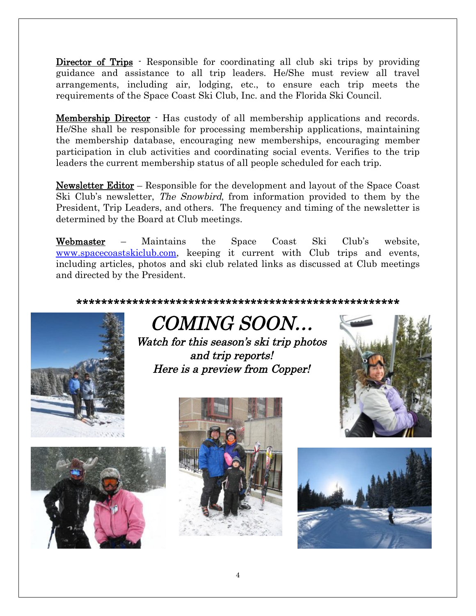Director of Trips - Responsible for coordinating all club ski trips by providing guidance and assistance to all trip leaders. He/She must review all travel arrangements, including air, lodging, etc., to ensure each trip meets the requirements of the Space Coast Ski Club, Inc. and the Florida Ski Council.

Membership Director - Has custody of all membership applications and records. He/She shall be responsible for processing membership applications, maintaining the membership database, encouraging new memberships, encouraging member participation in club activities and coordinating social events. Verifies to the trip leaders the current membership status of all people scheduled for each trip.

Newsletter Editor – Responsible for the development and layout of the Space Coast Ski Club's newsletter, The Snowbird, from information provided to them by the President, Trip Leaders, and others. The frequency and timing of the newsletter is determined by the Board at Club meetings.

Webmaster – Maintains the Space Coast Ski Club's website, www.spacecoastskiclub.com, keeping it current with Club trips and events, including articles, photos and ski club related links as discussed at Club meetings and directed by the President.

\*\*\*\*\*\*\*\*\*\*\*\*\*\*\*\*\*\*\*\*\*\*\*\*\*\*\*\*\*\*\*\*\*\*\*\*\*\*\*\*\*\*\*\*\*\*\*\*\*\*\*\*



COMING SOON… Watch for this season's ski trip photos and trip reports!

Here is <sup>a</sup> preview from Copper!







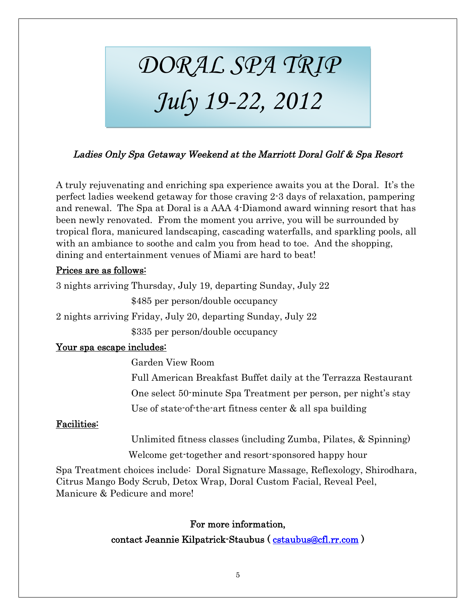# DORAL SPA TRIP July 19-22, 2012

#### Ladies Only Spa Getaway Weekend at the Marriott Doral Golf & Spa Resort

A truly rejuvenating and enriching spa experience awaits you at the Doral. It's the perfect ladies weekend getaway for those craving 2-3 days of relaxation, pampering and renewal. The Spa at Doral is a AAA 4-Diamond award winning resort that has been newly renovated. From the moment you arrive, you will be surrounded by tropical flora, manicured landscaping, cascading waterfalls, and sparkling pools, all with an ambiance to soothe and calm you from head to toe. And the shopping, dining and entertainment venues of Miami are hard to beat!

#### Prices are as follows:

3 nights arriving Thursday, July 19, departing Sunday, July 22

\$485 per person/double occupancy

2 nights arriving Friday, July 20, departing Sunday, July 22

\$335 per person/double occupancy

#### Your spa escape includes:

Garden View Room Full American Breakfast Buffet daily at the Terrazza Restaurant One select 50-minute Spa Treatment per person, per night's stay Use of state-of-the-art fitness center & all spa building

#### Facilities:

Unlimited fitness classes (including Zumba, Pilates, & Spinning) Welcome get-together and resort-sponsored happy hour

Spa Treatment choices include: Doral Signature Massage, Reflexology, Shirodhara, Citrus Mango Body Scrub, Detox Wrap, Doral Custom Facial, Reveal Peel, Manicure & Pedicure and more!

#### For more information,

contact Jeannie Kilpatrick-Staubus ( cstaubus@cfl.rr.com )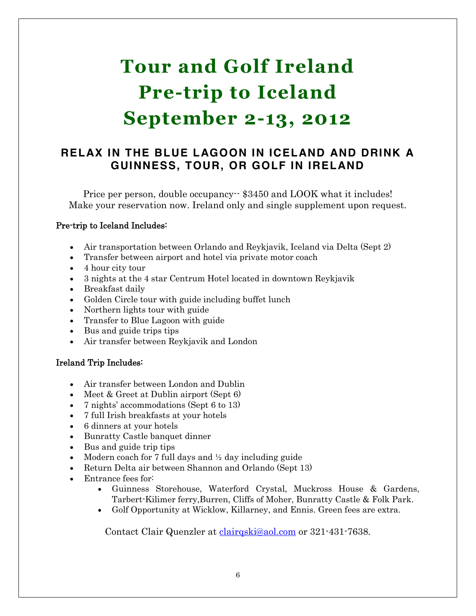### **Tour and Golf Ireland Pre-trip to Iceland September 2-13, 2012**

#### **RELAX IN THE BLUE LAGOON IN ICELAND AND DRINK A GUINNESS, TOUR, OR GOLF IN IRELAND**

Price per person, double occupancy - \$3450 and LOOK what it includes! Make your reservation now. Ireland only and single supplement upon request.

#### Pre-trip to Iceland Includes:

- Air transportation between Orlando and Reykjavik, Iceland via Delta (Sept 2)
- Transfer between airport and hotel via private motor coach
- $\bullet$  4 hour city tour
- x 3 nights at the 4 star Centrum Hotel located in downtown Reykjavik
- Breakfast daily
- Golden Circle tour with guide including buffet lunch
- $\bullet$  Northern lights tour with guide
- Transfer to Blue Lagoon with guide
- $\bullet$  Bus and guide trips tips
- Air transfer between Reykjavik and London

#### Ireland Trip Includes:

- Air transfer between London and Dublin
- $\bullet$  Meet & Greet at Dublin airport (Sept 6)
- 7 nights' accommodations (Sept 6 to 13)
- 7 full Irish breakfasts at your hotels
- 6 dinners at your hotels
- Bunratty Castle banquet dinner
- $\bullet$  Bus and guide trip tips
- Modern coach for 7 full days and  $\frac{1}{2}$  day including guide
- Execution Delta air between Shannon and Orlando (Sept 13)
- Entrance fees for:
	- x Guinness Storehouse, Waterford Crystal, Muckross House & Gardens, Tarbert-Kilimer ferry,Burren, Cliffs of Moher, Bunratty Castle & Folk Park.
	- x Golf Opportunity at Wicklow, Killarney, and Ennis. Green fees are extra.

Contact Clair Quenzler at clairqski@aol.com or 321-431-7638.